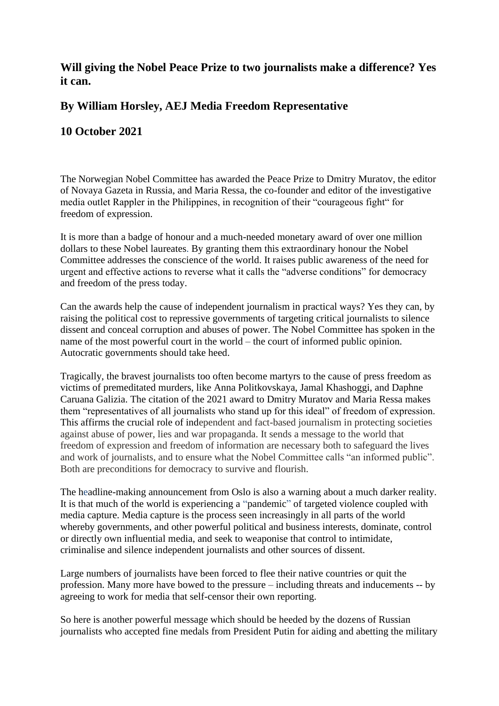## **Will giving the Nobel Peace Prize to two journalists make a difference? Yes it can.**

## **By William Horsley, AEJ Media Freedom Representative**

## **10 October 2021**

The Norwegian Nobel Committee has awarded the Peace Prize to Dmitry Muratov, the editor of Novaya Gazeta in Russia, and Maria Ressa, the co-founder and editor of the investigative media outlet Rappler in the Philippines, in recognition of their "courageous fight" for freedom of expression.

It is more than a badge of honour and a much-needed monetary award of over one million dollars to these Nobel laureates. By granting them this extraordinary honour the Nobel Committee addresses the conscience of the world. It raises public awareness of the need for urgent and effective actions to reverse what it calls the "adverse conditions" for democracy and freedom of the press today.

Can the awards help the cause of independent journalism in practical ways? Yes they can, by raising the political cost to repressive governments of targeting critical journalists to silence dissent and conceal corruption and abuses of power. The Nobel Committee has spoken in the name of the most powerful court in the world – the court of informed public opinion. Autocratic governments should take heed.

Tragically, the bravest journalists too often become martyrs to the cause of press freedom as victims of premeditated murders, like Anna Politkovskaya, Jamal Khashoggi, and Daphne Caruana Galizia. The citation of the 2021 award to Dmitry Muratov and Maria Ressa makes them "representatives of all journalists who stand up for this ideal" of freedom of expression. This affirms the crucial role of independent and fact-based journalism in protecting societies against abuse of power, lies and war propaganda. It sends a message to the world that freedom of expression and freedom of information are necessary both to safeguard the lives and work of journalists, and to ensure what the Nobel Committee calls "an informed public". Both are preconditions for democracy to survive and flourish.

The headline-making announcement from Oslo is also a warning about a much darker reality. It is that much of the world is experiencing a "pandemic" of targeted violence coupled with media capture. Media capture is the process seen increasingly in all parts of the world whereby governments, and other powerful political and business interests, dominate, control or directly own influential media, and seek to weaponise that control to intimidate, criminalise and silence independent journalists and other sources of dissent.

Large numbers of journalists have been forced to flee their native countries or quit the profession. Many more have bowed to the pressure – including threats and inducements -- by agreeing to work for media that self-censor their own reporting.

So here is another powerful message which should be heeded by the dozens of Russian journalists who accepted fine medals from President Putin for aiding and abetting the military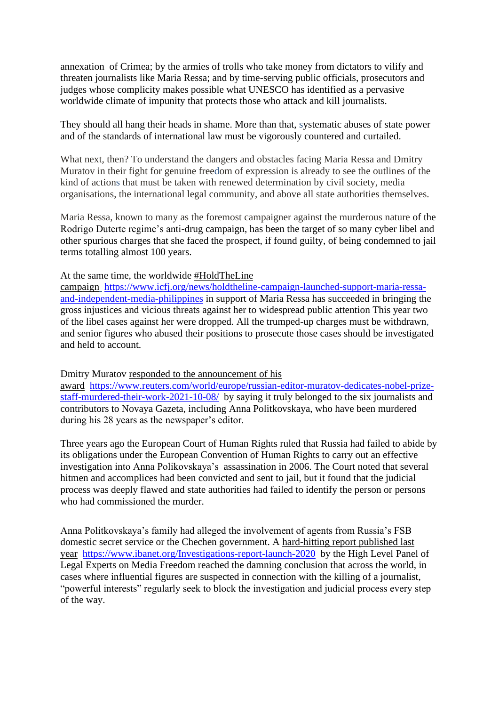annexation of Crimea; by the armies of trolls who take money from dictators to vilify and threaten journalists like Maria Ressa; and by time-serving public officials, prosecutors and judges whose complicity makes possible what UNESCO has identified as a pervasive worldwide climate of impunity that protects those who attack and kill journalists.

They should all hang their heads in shame. More than that, systematic abuses of state power and of the standards of international law must be vigorously countered and curtailed.

What next, then? To understand the dangers and obstacles facing Maria Ressa and Dmitry Muratov in their fight for genuine freedom of expression is already to see the outlines of the kind of actions that must be taken with renewed determination by civil society, media organisations, the international legal community, and above all state authorities themselves.

Maria Ressa, known to many as the foremost campaigner against the murderous nature of the Rodrigo Duterte regime's anti-drug campaign, has been the target of so many cyber libel and other spurious charges that she faced the prospect, if found guilty, of being condemned to jail terms totalling almost 100 years.

At the same time, the worldwide #HoldTheLine

campaign [https://www.icfj.org/news/holdtheline-campaign-launched-support-maria-ressa](https://www.icfj.org/news/holdtheline-campaign-launched-support-maria-ressa-and-independent-media-philippines)[and-independent-media-philippines](https://www.icfj.org/news/holdtheline-campaign-launched-support-maria-ressa-and-independent-media-philippines) in support of Maria Ressa has succeeded in bringing the gross injustices and vicious threats against her to widespread public attention This year two of the libel cases against her were dropped. All the trumped-up charges must be withdrawn, and senior figures who abused their positions to prosecute those cases should be investigated and held to account.

Dmitry Muratov responded to the announcement of his

award [https://www.reuters.com/world/europe/russian-editor-muratov-dedicates-nobel-prize](https://www.reuters.com/world/europe/russian-editor-muratov-dedicates-nobel-prize-staff-murdered-their-work-2021-10-08/)[staff-murdered-their-work-2021-10-08/](https://www.reuters.com/world/europe/russian-editor-muratov-dedicates-nobel-prize-staff-murdered-their-work-2021-10-08/) by saying it truly belonged to the six journalists and contributors to Novaya Gazeta, including Anna Politkovskaya, who have been murdered during his 28 years as the newspaper's editor.

Three years ago the European Court of Human Rights ruled that Russia had failed to abide by its obligations under the European Convention of Human Rights to carry out an effective investigation into Anna Polikovskaya's assassination in 2006. The Court noted that several hitmen and accomplices had been convicted and sent to jail, but it found that the judicial process was deeply flawed and state authorities had failed to identify the person or persons who had commissioned the murder.

Anna Politkovskaya's family had alleged the involvement of agents from Russia's FSB domestic secret service or the Chechen government. A hard-hitting report published last year <https://www.ibanet.org/Investigations-report-launch-2020> by the High Level Panel of Legal Experts on Media Freedom reached the damning conclusion that across the world, in cases where influential figures are suspected in connection with the killing of a journalist, "powerful interests" regularly seek to block the investigation and judicial process every step of the way.